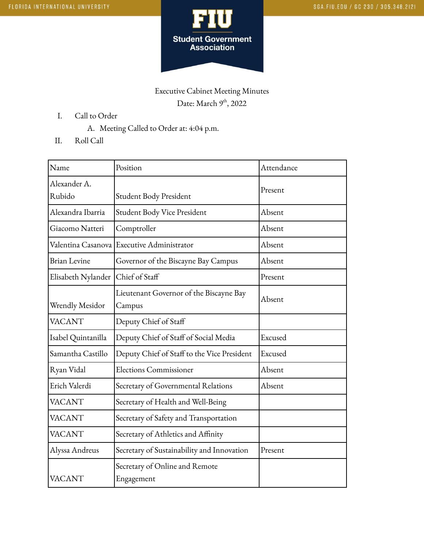

## Executive Cabinet Meeting Minutes Date: March 9<sup>th</sup>, 2022

- I. Call to Order
	- A. Meeting Called to Order at: 4:04 p.m.
- II. Roll Call

| Name                   | Position                                          | Attendance |
|------------------------|---------------------------------------------------|------------|
| Alexander A.<br>Rubido | Student Body President                            | Present    |
| Alexandra Ibarria      | Student Body Vice President                       | Absent     |
| Giacomo Natteri        | Comptroller                                       | Absent     |
|                        | Valentina Casanova Executive Administrator        | Absent     |
| <b>Brian Levine</b>    | Governor of the Biscayne Bay Campus               | Absent     |
| Elisabeth Nylander     | Chief of Staff                                    | Present    |
| Wrendly Mesidor        | Lieutenant Governor of the Biscayne Bay<br>Campus | Absent     |
| <b>VACANT</b>          | Deputy Chief of Staff                             |            |
| Isabel Quintanilla     | Deputy Chief of Staff of Social Media             | Excused    |
| Samantha Castillo      | Deputy Chief of Staff to the Vice President       | Excused    |
| Ryan Vidal             | <b>Elections Commissioner</b>                     | Absent     |
| Erich Valerdi          | Secretary of Governmental Relations               | Absent     |
| <b>VACANT</b>          | Secretary of Health and Well-Being                |            |
| <b>VACANT</b>          | Secretary of Safety and Transportation            |            |
| <b>VACANT</b>          | Secretary of Athletics and Affinity               |            |
| Alyssa Andreus         | Secretary of Sustainability and Innovation        | Present    |
| <b>VACANT</b>          | Secretary of Online and Remote<br>Engagement      |            |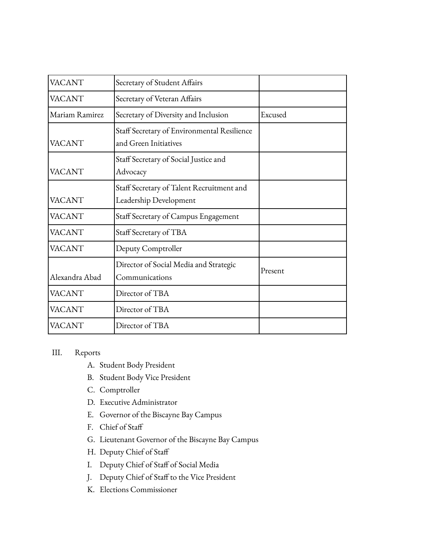| <b>VACANT</b>  | Secretary of Student Affairs                                         |         |
|----------------|----------------------------------------------------------------------|---------|
| VACANT         | Secretary of Veteran Affairs                                         |         |
| Mariam Ramirez | Secretary of Diversity and Inclusion                                 | Excused |
| VACANT         | Staff Secretary of Environmental Resilience<br>and Green Initiatives |         |
| VACANT         | Staff Secretary of Social Justice and<br>Advocacy                    |         |
| <b>VACANT</b>  | Staff Secretary of Talent Recruitment and<br>Leadership Development  |         |
| VACANT         | Staff Secretary of Campus Engagement                                 |         |
| VACANT         | Staff Secretary of TBA                                               |         |
| <b>VACANT</b>  | Deputy Comptroller                                                   |         |
| Alexandra Abad | Director of Social Media and Strategic<br>Communications             | Present |
| VACANT         | Director of TBA                                                      |         |
| VACANT         | Director of TBA                                                      |         |
| VACANT         | Director of TBA                                                      |         |

## III. Reports

- A. Student Body President
- B. Student Body Vice President
- C. Comptroller
- D. Executive Administrator
- E. Governor of the Biscayne Bay Campus
- F. Chief of Staff
- G. Lieutenant Governor of the Biscayne Bay Campus
- H. Deputy Chief of Staff
- I. Deputy Chief of Staff of Social Media
- J. Deputy Chief of Staff to the Vice President
- K. Elections Commissioner